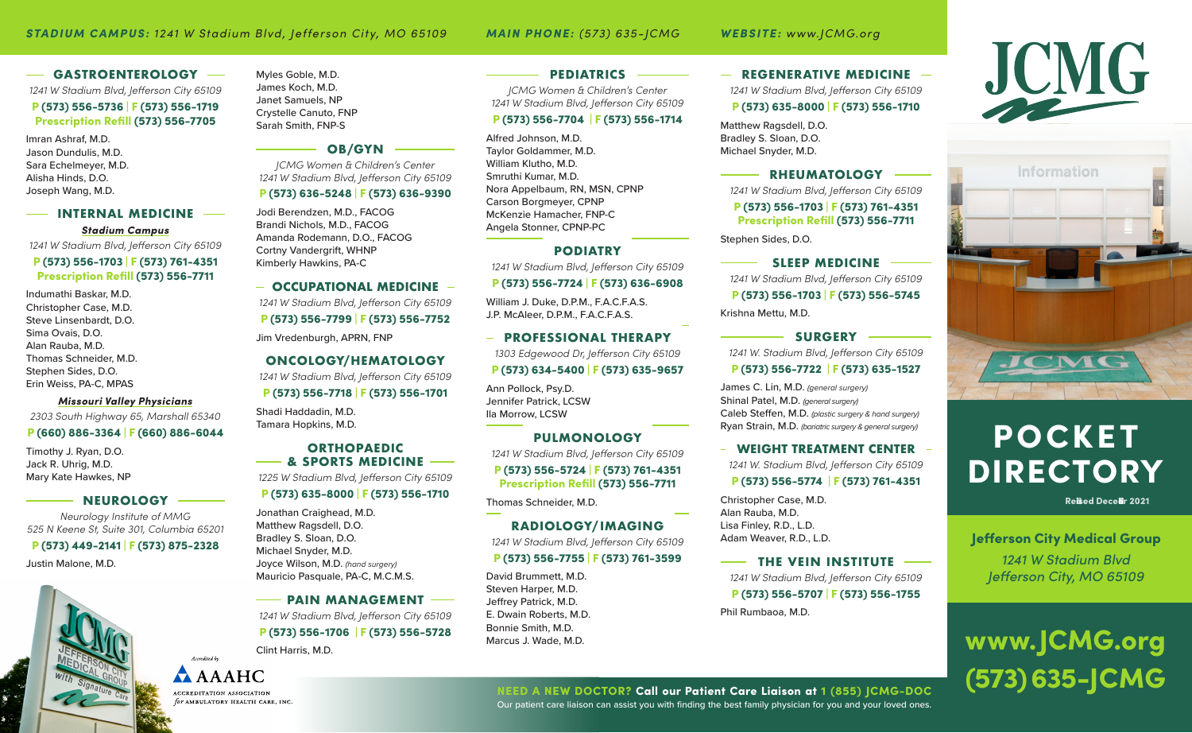### $-$  GASTROENTEROLOGY  $-$

*1241 W Stadium Blvd, Jefferson City 65109*

### P (573) 556-5736 | F (573) 556-1719 Prescription Refill (573) 556-7705

Imran Ashraf, M.D. Jason Dundulis, M.D. Sara Echelmeyer, M.D. Alisha Hinds, D.O. Joseph Wang, M.D.

### **INTERNAL MEDICINE** *Stadium Campus*

*1241 W Stadium Blvd, Jefferson City 65109*

### P (573) 556-1703 | F (573) 761-4351 Prescription Refill (573) 556-7711

Indumathi Baskar, M.D. Christopher Case, M.D. Steve Linsenbardt, D.O. Sima Ovais, D.O. Alan Rauba, M.D. Thomas Schneider, M.D. Stephen Sides, D.O. Erin Weiss, PA-C, MPAS

### *Missouri Valley Physicians*

*2303 South Highway 65, Marshall 65340*

### P (660) 886-3364 | F (660) 886-6044

Timothy J. Ryan, D.O. Jack R. Uhrig, M.D. Mary Kate Hawkes, NP

### **NEUROLOGY**

*Neurology Institute of MMG 525 N Keene St, Suite 301, Columbia 65201*

### P (573) 449-2141 | F (573) 875-2328

Justin Malone, M.D.



### **OB/GYN**

*JCMG Women & Children's Center 1241 W Stadium Blvd, Jefferson City 65109* P (573) 636-5248 | F (573) 636-9390

Jodi Berendzen, M.D., FACOG Brandi Nichols, M.D., FACOG Amanda Rodemann, D.O., FACOG Cortny Vandergrift, WHNP Kimberly Hawkins, PA-C

### **- OCCUPATIONAL MEDICINE -**

*1241 W Stadium Blvd, Jefferson City 65109* P (573) 556-7799 | F (573) 556-7752

Jim Vredenburgh, APRN, FNP

### **ONCOLOGY/HEMATOLOGY**

*1241 W Stadium Blvd, Jefferson City 65109* P (573) 556-7718 | F (573) 556-1701

Shadi Haddadin, M.D. Tamara Hopkins, M.D.

### **ORTHOPAEDIC & SPORTS MEDICINE**

*1225 W Stadium Blvd, Jefferson City 65109*

### P (573) 635-8000 | F (573) 556-1710

Jonathan Craighead, M.D. Matthew Ragsdell, D.O. Bradley S. Sloan, D.O. Michael Snyder, M.D. Joyce Wilson, M.D. *(hand surgery)* Mauricio Pasquale, PA-C, M.C.M.S.

### **- PAIN MANAGEMENT**

*1241 W Stadium Blvd, Jefferson City 65109* P (573) 556-1706 | F (573) 556-5728

Clint Harris, M.D.



Accordinal b

### **PEDIATRICS**

*JCMG Women & Children's Center 1241 W Stadium Blvd, Jefferson City 65109*

### P (573) 556-7704 | F (573) 556-1714

Alfred Johnson, M.D. Taylor Goldammer, M.D. William Klutho, M.D. Smruthi Kumar, M.D. Nora Appelbaum, RN, MSN, CPNP Carson Borgmeyer, CPNP McKenzie Hamacher, FNP-C Angela Stonner, CPNP-PC

### **PODIATRY**

*1241 W Stadium Blvd, Jefferson City 65109*

### P (573) 556-7724 | F (573) 636-6908

William J. Duke, D.P.M., F.A.C.F.A.S. J.P. McAleer, D.P.M., F.A.C.F.A.S.

**PROFESSIONAL THERAPY** *1303 Edgewood Dr, Jefferson City 65109*

Ann Pollock, Psy.D. Jennifer Patrick, LCSW Ila Morrow, LCSW

### **PULMONOLOGY**

*1241 W Stadium Blvd, Jefferson City 65109* P (573) 556-5724 | F (573) 761-4351 Prescription Refill (573) 556-7711

Thomas Schneider, M.D.

### **RADIOLOGY/ IMAGING**

*1241 W Stadium Blvd, Jefferson City 65109* P (573) 556-7755 | F (573) 761-3599

David Brummett, M.D. Steven Harper, M.D. Jeffrey Patrick, M.D. E. Dwain Roberts, M.D. Bonnie Smith, M.D. Marcus J. Wade, M.D.

**REGENERATIVE MEDICINE** *1241 W Stadium Blvd, Jefferson City 65109*

### P (573) 635-8000 | F (573) 556-1710

Matthew Ragsdell, D.O. Bradley S. Sloan, D.O. Michael Snyder, M.D.

**RHEUMATOLOGY** *1241 W Stadium Blvd, Jefferson City 65109* P (573) 556-1703 | F (573) 761-4351 Prescription Refill (573) 556-7711

Stephen Sides, D.O.

**SLEEP MEDICINE** *1241 W Stadium Blvd, Jefferson City 65109* P (573) 556-1703 | F (573) 556-5745 Krishna Mettu, M.D.

**SURGERY** *1241 W. Stadium Blvd, Jefferson City 65109*

### P (573) 556-7722 | F (573) 635-1527

James C. Lin, M.D. *(general surgery)* Shinal Patel, M.D. *(general surgery)* Caleb Steffen, M.D. *(plastic surgery & hand surgery)* Ryan Strain, M.D. *(bariatric surgery & general surgery)*

**WEIGHT TREATMENT CENTER** *1241 W. Stadium Blvd, Jefferson City 65109* P (573) 556-5774 | F (573) 761-4351

Christopher Case, M.D. Alan Rauba, M.D. Lisa Finley, R.D., L.D. Adam Weaver, R.D., L.D.

**THE VEIN INSTITUTE** *1241 W Stadium Blvd, Jefferson City 65109* P (573) 556-5707 | F (573) 556-1755 Phil Rumbaoa, M.D.





### POCKET DIRECTORY

*Revised December 2021*

Jefferson City Medical Group *1241 W Stadium Blvd Jefferson City, MO 65109*

## www.JCMG.org NEED A NEW DOCTOR? Call our Patient Care Liaison at 1 (855) JCMG-DOC (573) 635-JCMG

Our patient care liaison can assist you with finding the best family physician for you and your loved ones.

P (573) 634-5400 | F (573) 635-9657